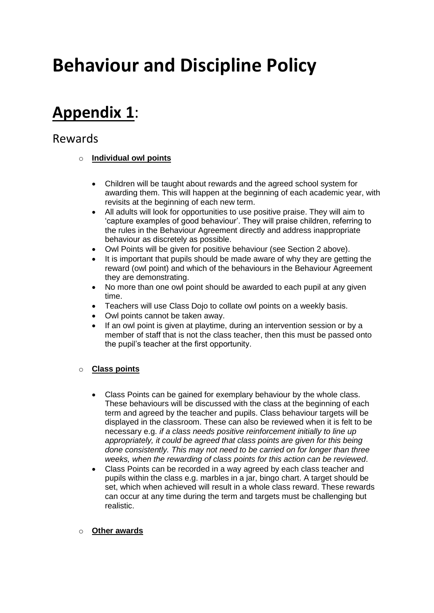# **Behaviour and Discipline Policy**

## **Appendix 1**:

### Rewards

#### o **Individual owl points**

- Children will be taught about rewards and the agreed school system for awarding them. This will happen at the beginning of each academic year, with revisits at the beginning of each new term.
- All adults will look for opportunities to use positive praise. They will aim to 'capture examples of good behaviour'. They will praise children, referring to the rules in the Behaviour Agreement directly and address inappropriate behaviour as discretely as possible.
- Owl Points will be given for positive behaviour (see Section 2 above).
- It is important that pupils should be made aware of why they are getting the reward (owl point) and which of the behaviours in the Behaviour Agreement they are demonstrating.
- No more than one owl point should be awarded to each pupil at any given time.
- Teachers will use Class Dojo to collate owl points on a weekly basis.
- Owl points cannot be taken away.
- If an owl point is given at playtime, during an intervention session or by a member of staff that is not the class teacher, then this must be passed onto the pupil's teacher at the first opportunity.

#### o **Class points**

- Class Points can be gained for exemplary behaviour by the whole class. These behaviours will be discussed with the class at the beginning of each term and agreed by the teacher and pupils. Class behaviour targets will be displayed in the classroom. These can also be reviewed when it is felt to be necessary e.g. *if a class needs positive reinforcement initially to line up appropriately, it could be agreed that class points are given for this being done consistently. This may not need to be carried on for longer than three weeks, when the rewarding of class points for this action can be reviewed*.
- Class Points can be recorded in a way agreed by each class teacher and pupils within the class e.g. marbles in a jar, bingo chart. A target should be set, which when achieved will result in a whole class reward. These rewards can occur at any time during the term and targets must be challenging but realistic.

#### o **Other awards**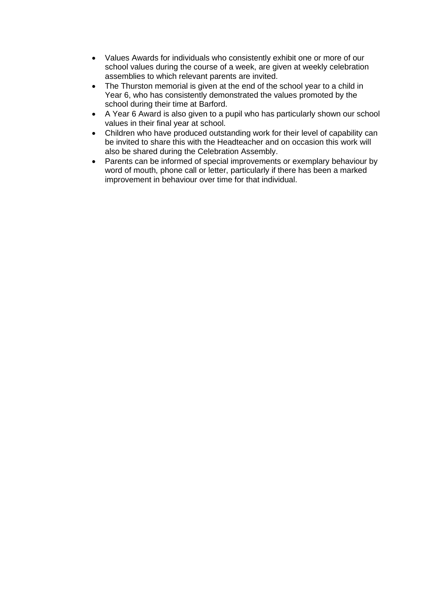- Values Awards for individuals who consistently exhibit one or more of our school values during the course of a week, are given at weekly celebration assemblies to which relevant parents are invited.
- The Thurston memorial is given at the end of the school year to a child in Year 6, who has consistently demonstrated the values promoted by the school during their time at Barford.
- A Year 6 Award is also given to a pupil who has particularly shown our school values in their final year at school.
- Children who have produced outstanding work for their level of capability can be invited to share this with the Headteacher and on occasion this work will also be shared during the Celebration Assembly.
- Parents can be informed of special improvements or exemplary behaviour by word of mouth, phone call or letter, particularly if there has been a marked improvement in behaviour over time for that individual.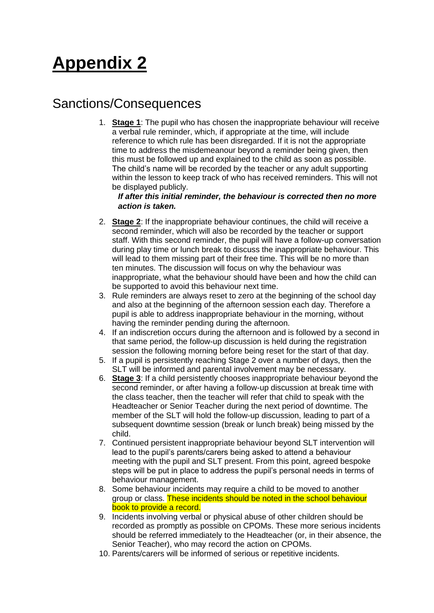# **Appendix 2**

### Sanctions/Consequences

1. **Stage 1**: The pupil who has chosen the inappropriate behaviour will receive a verbal rule reminder, which, if appropriate at the time, will include reference to which rule has been disregarded. If it is not the appropriate time to address the misdemeanour beyond a reminder being given, then this must be followed up and explained to the child as soon as possible. The child's name will be recorded by the teacher or any adult supporting within the lesson to keep track of who has received reminders. This will not be displayed publicly.

#### *If after this initial reminder, the behaviour is corrected then no more action is taken.*

- 2. **Stage 2**: If the inappropriate behaviour continues, the child will receive a second reminder, which will also be recorded by the teacher or support staff. With this second reminder, the pupil will have a follow-up conversation during play time or lunch break to discuss the inappropriate behaviour. This will lead to them missing part of their free time. This will be no more than ten minutes. The discussion will focus on why the behaviour was inappropriate, what the behaviour should have been and how the child can be supported to avoid this behaviour next time.
- 3. Rule reminders are always reset to zero at the beginning of the school day and also at the beginning of the afternoon session each day. Therefore a pupil is able to address inappropriate behaviour in the morning, without having the reminder pending during the afternoon.
- 4. If an indiscretion occurs during the afternoon and is followed by a second in that same period, the follow-up discussion is held during the registration session the following morning before being reset for the start of that day.
- 5. If a pupil is persistently reaching Stage 2 over a number of days, then the SLT will be informed and parental involvement may be necessary.
- 6. **Stage 3**: If a child persistently chooses inappropriate behaviour beyond the second reminder, or after having a follow-up discussion at break time with the class teacher, then the teacher will refer that child to speak with the Headteacher or Senior Teacher during the next period of downtime. The member of the SLT will hold the follow-up discussion, leading to part of a subsequent downtime session (break or lunch break) being missed by the child.
- 7. Continued persistent inappropriate behaviour beyond SLT intervention will lead to the pupil's parents/carers being asked to attend a behaviour meeting with the pupil and SLT present. From this point, agreed bespoke steps will be put in place to address the pupil's personal needs in terms of behaviour management.
- 8. Some behaviour incidents may require a child to be moved to another group or class. These incidents should be noted in the school behaviour book to provide a record.
- 9. Incidents involving verbal or physical abuse of other children should be recorded as promptly as possible on CPOMs. These more serious incidents should be referred immediately to the Headteacher (or, in their absence, the Senior Teacher), who may record the action on CPOMs.
- 10. Parents/carers will be informed of serious or repetitive incidents.